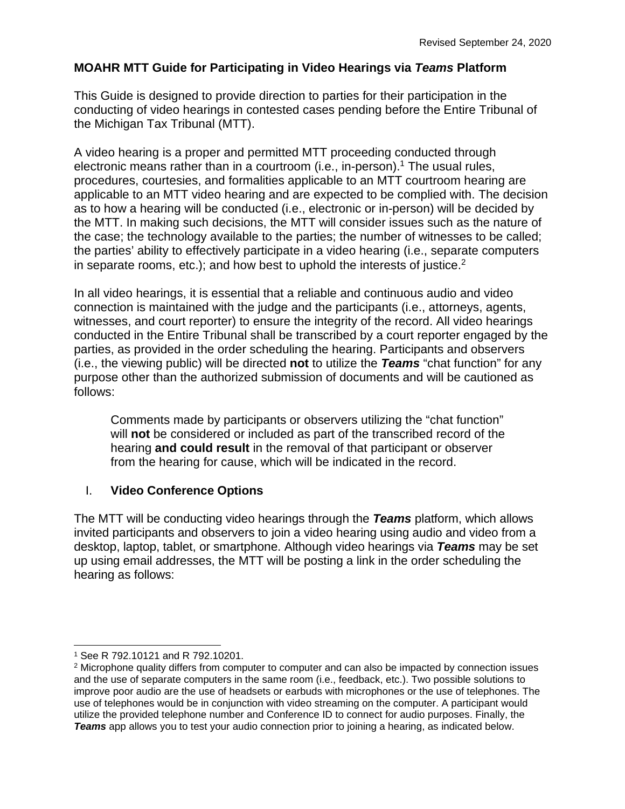## **MOAHR MTT Guide for Participating in Video Hearings via** *Teams* **Platform**

This Guide is designed to provide direction to parties for their participation in the conducting of video hearings in contested cases pending before the Entire Tribunal of the Michigan Tax Tribunal (MTT).

A video hearing is a proper and permitted MTT proceeding conducted through electronic means rather than in a courtroom (i.e., in-person).<sup>1</sup> The usual rules, procedures, courtesies, and formalities applicable to an MTT courtroom hearing are applicable to an MTT video hearing and are expected to be complied with. The decision as to how a hearing will be conducted (i.e., electronic or in-person) will be decided by the MTT. In making such decisions, the MTT will consider issues such as the nature of the case; the technology available to the parties; the number of witnesses to be called; the parties' ability to effectively participate in a video hearing (i.e., separate computers in separate rooms, etc.); and how best to uphold the interests of justice.<sup>2</sup>

In all video hearings, it is essential that a reliable and continuous audio and video connection is maintained with the judge and the participants (i.e., attorneys, agents, witnesses, and court reporter) to ensure the integrity of the record. All video hearings conducted in the Entire Tribunal shall be transcribed by a court reporter engaged by the parties, as provided in the order scheduling the hearing. Participants and observers (i.e., the viewing public) will be directed **not** to utilize the *Teams* "chat function" for any purpose other than the authorized submission of documents and will be cautioned as follows:

Comments made by participants or observers utilizing the "chat function" will **not** be considered or included as part of the transcribed record of the hearing **and could result** in the removal of that participant or observer from the hearing for cause, which will be indicated in the record.

### I. **Video Conference Options**

The MTT will be conducting video hearings through the *Teams* platform, which allows invited participants and observers to join a video hearing using audio and video from a desktop, laptop, tablet, or smartphone. Although video hearings via *Teams* may be set up using email addresses, the MTT will be posting a link in the order scheduling the hearing as follows:

<sup>1</sup> See R 792.10121 and R 792.10201.

<sup>&</sup>lt;sup>2</sup> Microphone quality differs from computer to computer and can also be impacted by connection issues and the use of separate computers in the same room (i.e., feedback, etc.). Two possible solutions to improve poor audio are the use of headsets or earbuds with microphones or the use of telephones. The use of telephones would be in conjunction with video streaming on the computer. A participant would utilize the provided telephone number and Conference ID to connect for audio purposes. Finally, the **Teams** app allows you to test your audio connection prior to joining a hearing, as indicated below.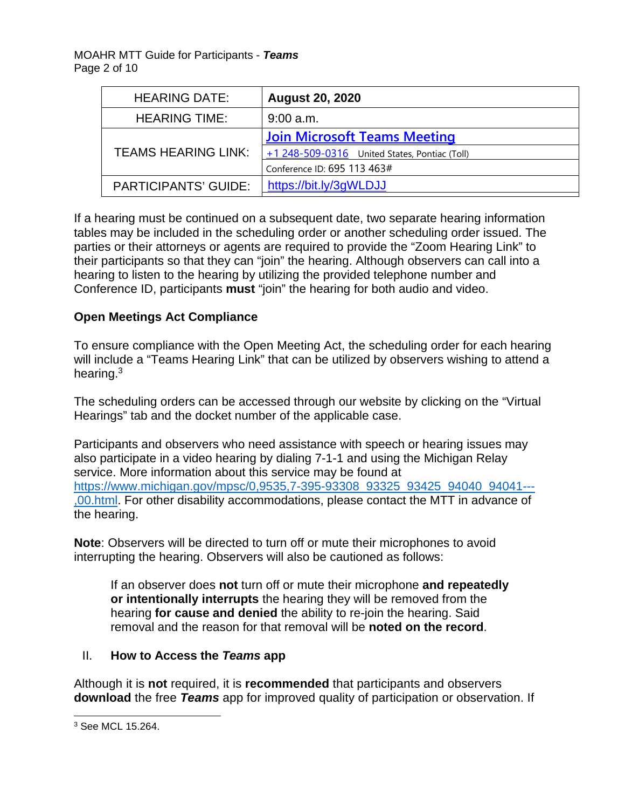MOAHR MTT Guide for Participants - *Teams*  Page 2 of 10

| <b>HEARING DATE:</b>        | <b>August 20, 2020</b>                          |
|-----------------------------|-------------------------------------------------|
| <b>HEARING TIME:</b>        | $9:00$ a.m.                                     |
| <b>TEAMS HEARING LINK:</b>  | <b>Join Microsoft Teams Meeting</b>             |
|                             | $+1$ 248-509-0316 United States, Pontiac (Toll) |
|                             | Conference ID: 695 113 463#                     |
| <b>PARTICIPANTS' GUIDE:</b> | https://bit.ly/3gWLDJJ                          |

If a hearing must be continued on a subsequent date, two separate hearing information tables may be included in the scheduling order or another scheduling order issued. The parties or their attorneys or agents are required to provide the "Zoom Hearing Link" to their participants so that they can "join" the hearing. Although observers can call into a hearing to listen to the hearing by utilizing the provided telephone number and Conference ID, participants **must** "join" the hearing for both audio and video.

## **Open Meetings Act Compliance**

To ensure compliance with the Open Meeting Act, the scheduling order for each hearing will include a "Teams Hearing Link" that can be utilized by observers wishing to attend a hearing.<sup>3</sup>

The scheduling orders can be accessed through our website by clicking on the "Virtual Hearings" tab and the docket number of the applicable case.

Participants and observers who need assistance with speech or hearing issues may also participate in a video hearing by dialing 7-1-1 and using the Michigan Relay service. More information about this service may be found at [https://www.michigan.gov/mpsc/0,9535,7-395-93308\\_93325\\_93425\\_94040\\_94041---](https://www.michigan.gov/mpsc/0,9535,7-395-93308_93325_93425_94040_94041---,00.html) [,00.html.](https://www.michigan.gov/mpsc/0,9535,7-395-93308_93325_93425_94040_94041---,00.html) For other disability accommodations, please contact the MTT in advance of the hearing.

**Note**: Observers will be directed to turn off or mute their microphones to avoid interrupting the hearing. Observers will also be cautioned as follows:

If an observer does **not** turn off or mute their microphone **and repeatedly or intentionally interrupts** the hearing they will be removed from the hearing **for cause and denied** the ability to re-join the hearing. Said removal and the reason for that removal will be **noted on the record**.

### II. **How to Access the** *Teams* **app**

Although it is **not** required, it is **recommended** that participants and observers **download** the free *Teams* app for improved quality of participation or observation. If

<sup>3</sup> See MCL 15.264.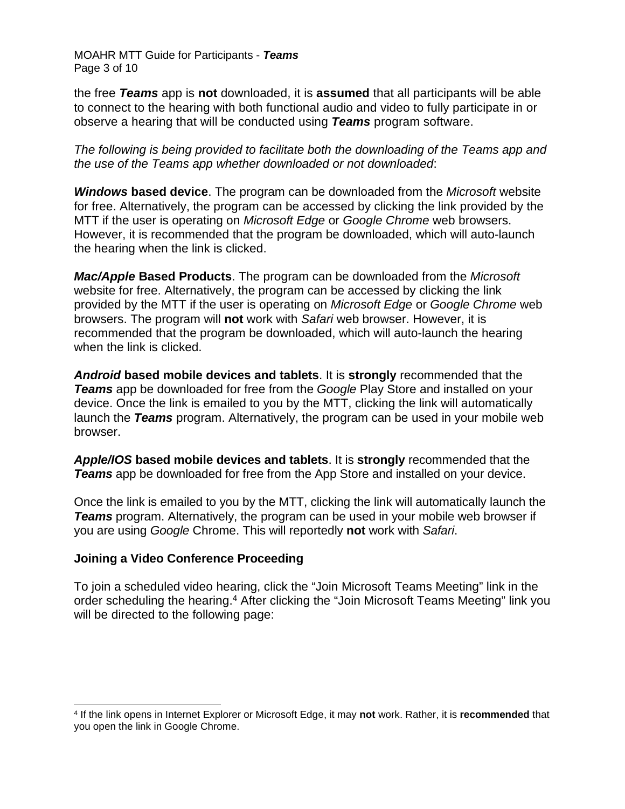MOAHR MTT Guide for Participants - *Teams*  Page 3 of 10

the free *Teams* app is **not** downloaded, it is **assumed** that all participants will be able to connect to the hearing with both functional audio and video to fully participate in or observe a hearing that will be conducted using *Teams* program software.

*The following is being provided to facilitate both the downloading of the Teams app and the use of the Teams app whether downloaded or not downloaded*:

*Windows* **based device**. The program can be downloaded from the *Microsoft* website for free. Alternatively, the program can be accessed by clicking the link provided by the MTT if the user is operating on *Microsoft Edge* or *Google Chrome* web browsers. However, it is recommended that the program be downloaded, which will auto-launch the hearing when the link is clicked.

*Mac/Apple* **Based Products**. The program can be downloaded from the *Microsoft*  website for free. Alternatively, the program can be accessed by clicking the link provided by the MTT if the user is operating on *Microsoft Edge* or *Google Chrome* web browsers. The program will **not** work with *Safari* web browser. However, it is recommended that the program be downloaded, which will auto-launch the hearing when the link is clicked.

*Android* **based mobile devices and tablets**. It is **strongly** recommended that the *Teams* app be downloaded for free from the *Google* Play Store and installed on your device. Once the link is emailed to you by the MTT, clicking the link will automatically launch the *Teams* program. Alternatively, the program can be used in your mobile web browser.

*Apple/IOS* **based mobile devices and tablets**. It is **strongly** recommended that the *Teams* app be downloaded for free from the App Store and installed on your device.

Once the link is emailed to you by the MTT, clicking the link will automatically launch the *Teams* program. Alternatively, the program can be used in your mobile web browser if you are using *Google* Chrome. This will reportedly **not** work with *Safari*.

### **Joining a Video Conference Proceeding**

To join a scheduled video hearing, click the "Join Microsoft Teams Meeting" link in the order scheduling the hearing.<sup>4</sup> After clicking the "Join Microsoft Teams Meeting" link you will be directed to the following page:

<sup>4</sup> If the link opens in Internet Explorer or Microsoft Edge, it may **not** work. Rather, it is **recommended** that you open the link in Google Chrome.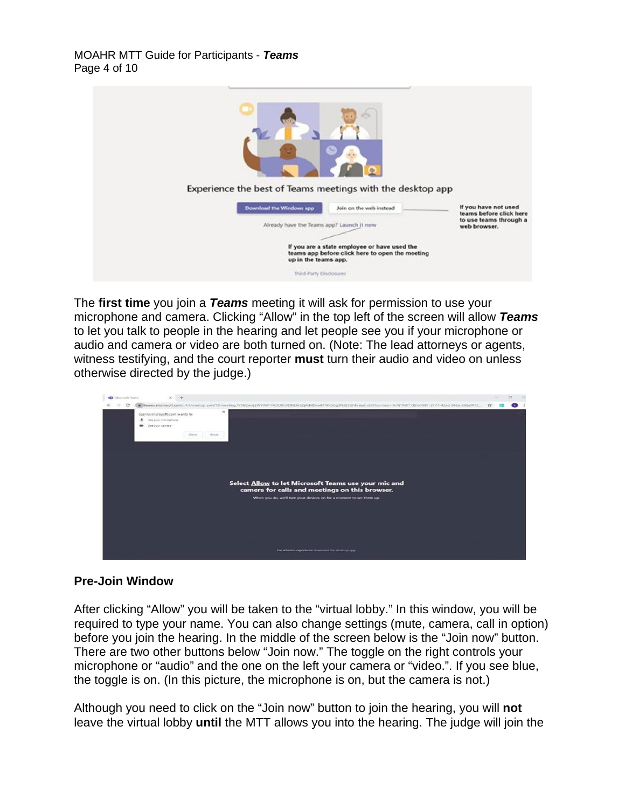

The **first time** you join a *Teams* meeting it will ask for permission to use your microphone and camera. Clicking "Allow" in the top left of the screen will allow *Teams* to let you talk to people in the hearing and let people see you if your microphone or audio and camera or video are both turned on. (Note: The lead attorneys or agents, witness testifying, and the court reporter **must** turn their audio and video on unless otherwise directed by the judge.)



## **Pre-Join Window**

After clicking "Allow" you will be taken to the "virtual lobby." In this window, you will be required to type your name. You can also change settings (mute, camera, call in option) before you join the hearing. In the middle of the screen below is the "Join now" button. There are two other buttons below "Join now." The toggle on the right controls your microphone or "audio" and the one on the left your camera or "video.". If you see blue, the toggle is on. (In this picture, the microphone is on, but the camera is not.)

Although you need to click on the "Join now" button to join the hearing, you will **not**  leave the virtual lobby **until** the MTT allows you into the hearing. The judge will join the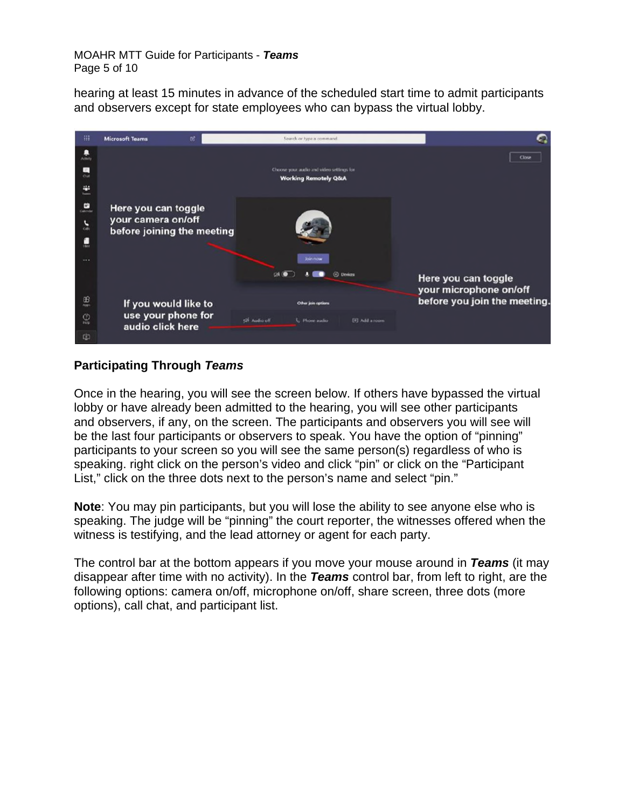#### MOAHR MTT Guide for Participants - *Teams*  Page 5 of 10

hearing at least 15 minutes in advance of the scheduled start time to admit participants and observers except for state employees who can bypass the virtual lobby.



# **Participating Through** *Teams*

Once in the hearing, you will see the screen below. If others have bypassed the virtual lobby or have already been admitted to the hearing, you will see other participants and observers, if any, on the screen. The participants and observers you will see will be the last four participants or observers to speak. You have the option of "pinning" participants to your screen so you will see the same person(s) regardless of who is speaking. right click on the person's video and click "pin" or click on the "Participant List," click on the three dots next to the person's name and select "pin."

**Note**: You may pin participants, but you will lose the ability to see anyone else who is speaking. The judge will be "pinning" the court reporter, the witnesses offered when the witness is testifying, and the lead attorney or agent for each party.

The control bar at the bottom appears if you move your mouse around in *Teams* (it may disappear after time with no activity). In the *Teams* control bar, from left to right, are the following options: camera on/off, microphone on/off, share screen, three dots (more options), call chat, and participant list.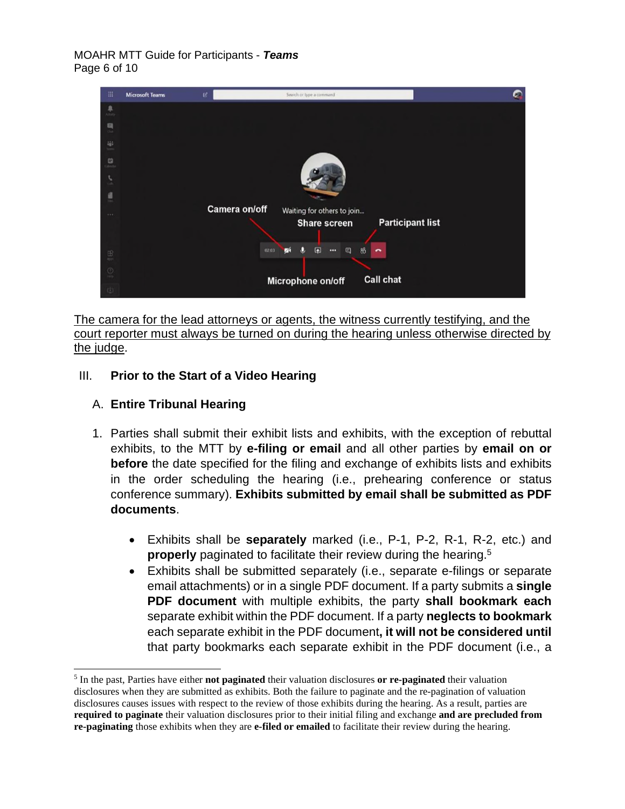#### MOAHR MTT Guide for Participants - *Teams*  Page 6 of 10



The camera for the lead attorneys or agents, the witness currently testifying, and the court reporter must always be turned on during the hearing unless otherwise directed by the judge.

# III. **Prior to the Start of a Video Hearing**

# A. **Entire Tribunal Hearing**

- 1. Parties shall submit their exhibit lists and exhibits, with the exception of rebuttal exhibits, to the MTT by **e-filing or email** and all other parties by **email on or before** the date specified for the filing and exchange of exhibits lists and exhibits in the order scheduling the hearing (i.e., prehearing conference or status conference summary). **Exhibits submitted by email shall be submitted as PDF documents**.
	- Exhibits shall be **separately** marked (i.e., P-1, P-2, R-1, R-2, etc.) and **properly** paginated to facilitate their review during the hearing.<sup>5</sup>
	- Exhibits shall be submitted separately (i.e., separate e-filings or separate email attachments) or in a single PDF document. If a party submits a **single PDF document** with multiple exhibits, the party **shall bookmark each** separate exhibit within the PDF document. If a party **neglects to bookmark** each separate exhibit in the PDF document**, it will not be considered until** that party bookmarks each separate exhibit in the PDF document (i.e., a

<sup>5</sup> In the past, Parties have either **not paginated** their valuation disclosures **or re-paginated** their valuation disclosures when they are submitted as exhibits. Both the failure to paginate and the re-pagination of valuation disclosures causes issues with respect to the review of those exhibits during the hearing. As a result, parties are **required to paginate** their valuation disclosures prior to their initial filing and exchange **and are precluded from re-paginating** those exhibits when they are **e-filed or emailed** to facilitate their review during the hearing.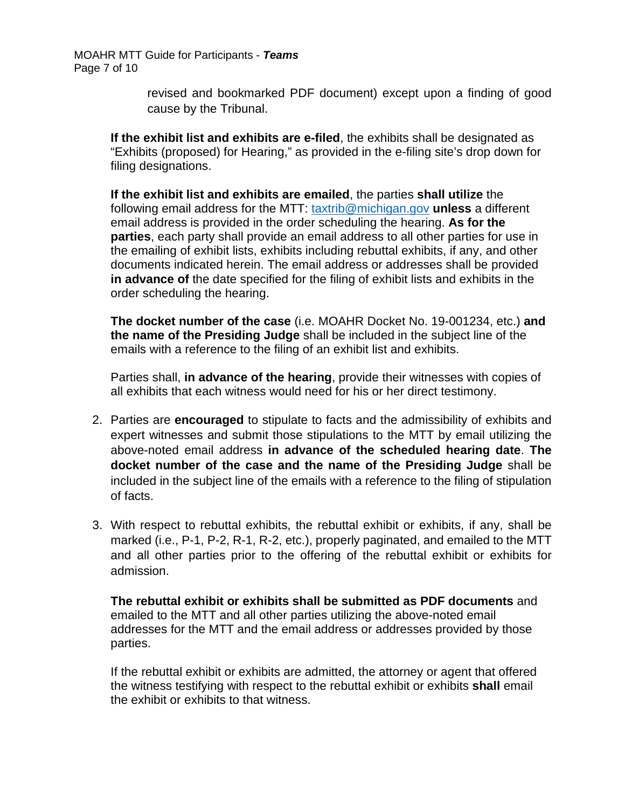MOAHR MTT Guide for Participants - *Teams*  Page 7 of 10

> revised and bookmarked PDF document) except upon a finding of good cause by the Tribunal.

**If the exhibit list and exhibits are e-filed**, the exhibits shall be designated as "Exhibits (proposed) for Hearing," as provided in the e-filing site's drop down for filing designations.

**If the exhibit list and exhibits are emailed**, the parties **shall utilize** the following email address for the MTT: [taxtrib@michigan.gov](mailto:taxtrib@michigan.gov) **unless** a different email address is provided in the order scheduling the hearing. **As for the parties**, each party shall provide an email address to all other parties for use in the emailing of exhibit lists, exhibits including rebuttal exhibits, if any, and other documents indicated herein. The email address or addresses shall be provided **in advance of** the date specified for the filing of exhibit lists and exhibits in the order scheduling the hearing.

**The docket number of the case** (i.e. MOAHR Docket No. 19-001234, etc.) **and the name of the Presiding Judge** shall be included in the subject line of the emails with a reference to the filing of an exhibit list and exhibits.

Parties shall, **in advance of the hearing**, provide their witnesses with copies of all exhibits that each witness would need for his or her direct testimony.

- 2. Parties are **encouraged** to stipulate to facts and the admissibility of exhibits and expert witnesses and submit those stipulations to the MTT by email utilizing the above-noted email address **in advance of the scheduled hearing date**. **The docket number of the case and the name of the Presiding Judge** shall be included in the subject line of the emails with a reference to the filing of stipulation of facts.
- 3. With respect to rebuttal exhibits, the rebuttal exhibit or exhibits, if any, shall be marked (i.e., P-1, P-2, R-1, R-2, etc.), properly paginated, and emailed to the MTT and all other parties prior to the offering of the rebuttal exhibit or exhibits for admission.

**The rebuttal exhibit or exhibits shall be submitted as PDF documents** and emailed to the MTT and all other parties utilizing the above-noted email addresses for the MTT and the email address or addresses provided by those parties.

If the rebuttal exhibit or exhibits are admitted, the attorney or agent that offered the witness testifying with respect to the rebuttal exhibit or exhibits **shall** email the exhibit or exhibits to that witness.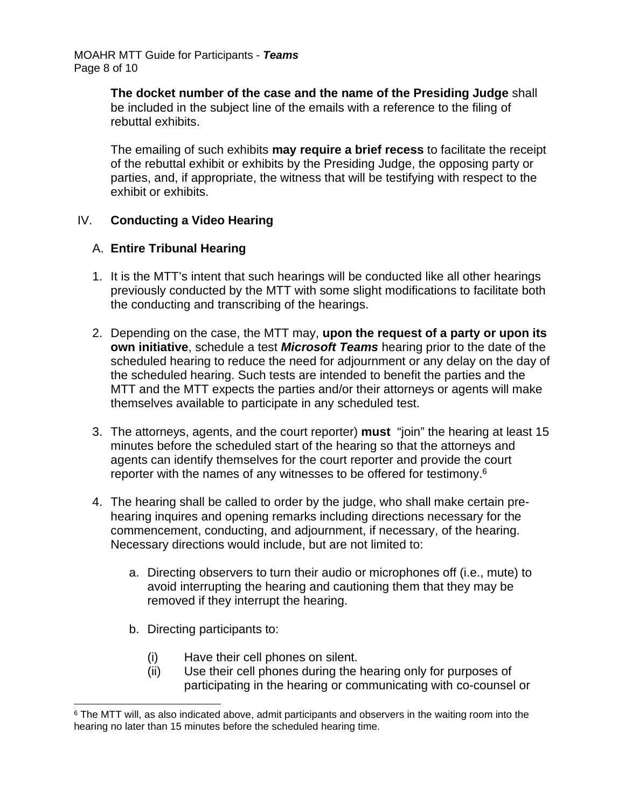MOAHR MTT Guide for Participants - *Teams*  Page 8 of 10

> **The docket number of the case and the name of the Presiding Judge** shall be included in the subject line of the emails with a reference to the filing of rebuttal exhibits.

The emailing of such exhibits **may require a brief recess** to facilitate the receipt of the rebuttal exhibit or exhibits by the Presiding Judge, the opposing party or parties, and, if appropriate, the witness that will be testifying with respect to the exhibit or exhibits.

### IV. **Conducting a Video Hearing**

### A. **Entire Tribunal Hearing**

- 1. It is the MTT's intent that such hearings will be conducted like all other hearings previously conducted by the MTT with some slight modifications to facilitate both the conducting and transcribing of the hearings.
- 2. Depending on the case, the MTT may, **upon the request of a party or upon its own initiative**, schedule a test *Microsoft Teams* hearing prior to the date of the scheduled hearing to reduce the need for adjournment or any delay on the day of the scheduled hearing. Such tests are intended to benefit the parties and the MTT and the MTT expects the parties and/or their attorneys or agents will make themselves available to participate in any scheduled test.
- 3. The attorneys, agents, and the court reporter) **must** "join" the hearing at least 15 minutes before the scheduled start of the hearing so that the attorneys and agents can identify themselves for the court reporter and provide the court reporter with the names of any witnesses to be offered for testimony.<sup>6</sup>
- 4. The hearing shall be called to order by the judge, who shall make certain prehearing inquires and opening remarks including directions necessary for the commencement, conducting, and adjournment, if necessary, of the hearing. Necessary directions would include, but are not limited to:
	- a. Directing observers to turn their audio or microphones off (i.e., mute) to avoid interrupting the hearing and cautioning them that they may be removed if they interrupt the hearing.
	- b. Directing participants to:
		- (i) Have their cell phones on silent.
		- (ii) Use their cell phones during the hearing only for purposes of participating in the hearing or communicating with co-counsel or

<sup>&</sup>lt;sup>6</sup> The MTT will, as also indicated above, admit participants and observers in the waiting room into the hearing no later than 15 minutes before the scheduled hearing time.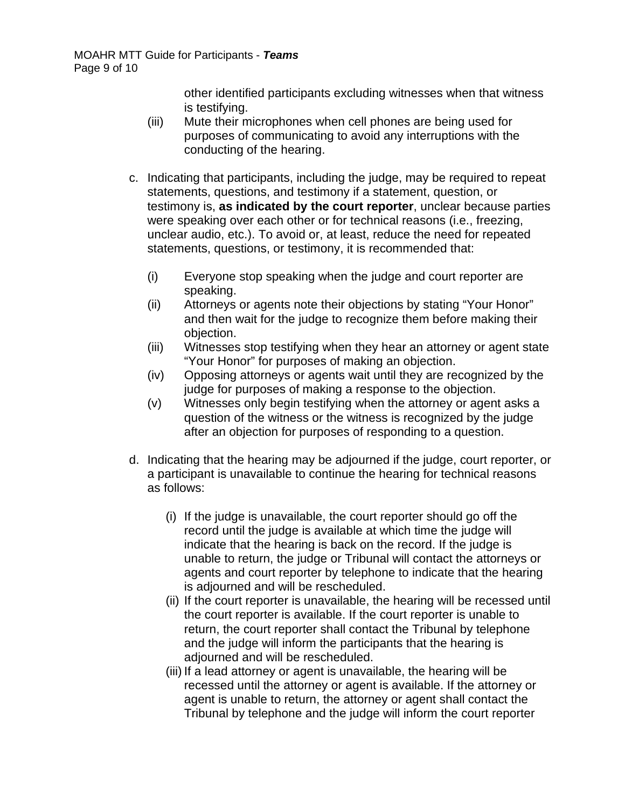other identified participants excluding witnesses when that witness is testifying.

- (iii) Mute their microphones when cell phones are being used for purposes of communicating to avoid any interruptions with the conducting of the hearing.
- c. Indicating that participants, including the judge, may be required to repeat statements, questions, and testimony if a statement, question, or testimony is, **as indicated by the court reporter**, unclear because parties were speaking over each other or for technical reasons (i.e., freezing, unclear audio, etc.). To avoid or, at least, reduce the need for repeated statements, questions, or testimony, it is recommended that:
	- (i) Everyone stop speaking when the judge and court reporter are speaking.
	- (ii) Attorneys or agents note their objections by stating "Your Honor" and then wait for the judge to recognize them before making their objection.
	- (iii) Witnesses stop testifying when they hear an attorney or agent state "Your Honor" for purposes of making an objection.
	- (iv) Opposing attorneys or agents wait until they are recognized by the judge for purposes of making a response to the objection.
	- (v) Witnesses only begin testifying when the attorney or agent asks a question of the witness or the witness is recognized by the judge after an objection for purposes of responding to a question.
- d. Indicating that the hearing may be adjourned if the judge, court reporter, or a participant is unavailable to continue the hearing for technical reasons as follows:
	- (i) If the judge is unavailable, the court reporter should go off the record until the judge is available at which time the judge will indicate that the hearing is back on the record. If the judge is unable to return, the judge or Tribunal will contact the attorneys or agents and court reporter by telephone to indicate that the hearing is adjourned and will be rescheduled.
	- (ii) If the court reporter is unavailable, the hearing will be recessed until the court reporter is available. If the court reporter is unable to return, the court reporter shall contact the Tribunal by telephone and the judge will inform the participants that the hearing is adjourned and will be rescheduled.
	- (iii) If a lead attorney or agent is unavailable, the hearing will be recessed until the attorney or agent is available. If the attorney or agent is unable to return, the attorney or agent shall contact the Tribunal by telephone and the judge will inform the court reporter